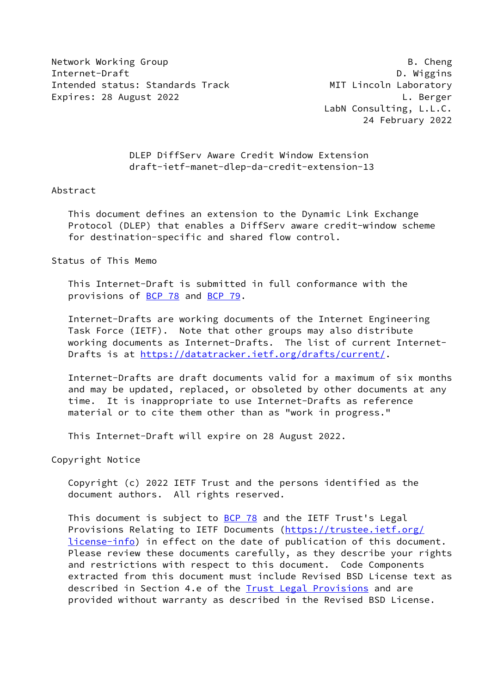Network Working Group **B. Cheng** Internet-Draft D. Wiggins Intended status: Standards Track MIT Lincoln Laboratory Expires: 28 August 2022 **L. Berger** 

 LabN Consulting, L.L.C. 24 February 2022

 DLEP DiffServ Aware Credit Window Extension draft-ietf-manet-dlep-da-credit-extension-13

#### Abstract

 This document defines an extension to the Dynamic Link Exchange Protocol (DLEP) that enables a DiffServ aware credit-window scheme for destination-specific and shared flow control.

### Status of This Memo

 This Internet-Draft is submitted in full conformance with the provisions of [BCP 78](https://datatracker.ietf.org/doc/pdf/bcp78) and [BCP 79](https://datatracker.ietf.org/doc/pdf/bcp79).

 Internet-Drafts are working documents of the Internet Engineering Task Force (IETF). Note that other groups may also distribute working documents as Internet-Drafts. The list of current Internet- Drafts is at<https://datatracker.ietf.org/drafts/current/>.

 Internet-Drafts are draft documents valid for a maximum of six months and may be updated, replaced, or obsoleted by other documents at any time. It is inappropriate to use Internet-Drafts as reference material or to cite them other than as "work in progress."

This Internet-Draft will expire on 28 August 2022.

Copyright Notice

 Copyright (c) 2022 IETF Trust and the persons identified as the document authors. All rights reserved.

This document is subject to **[BCP 78](https://datatracker.ietf.org/doc/pdf/bcp78)** and the IETF Trust's Legal Provisions Relating to IETF Documents ([https://trustee.ietf.org/](https://trustee.ietf.org/license-info) [license-info](https://trustee.ietf.org/license-info)) in effect on the date of publication of this document. Please review these documents carefully, as they describe your rights and restrictions with respect to this document. Code Components extracted from this document must include Revised BSD License text as described in Section 4.e of the **Trust Legal Provisions** and are provided without warranty as described in the Revised BSD License.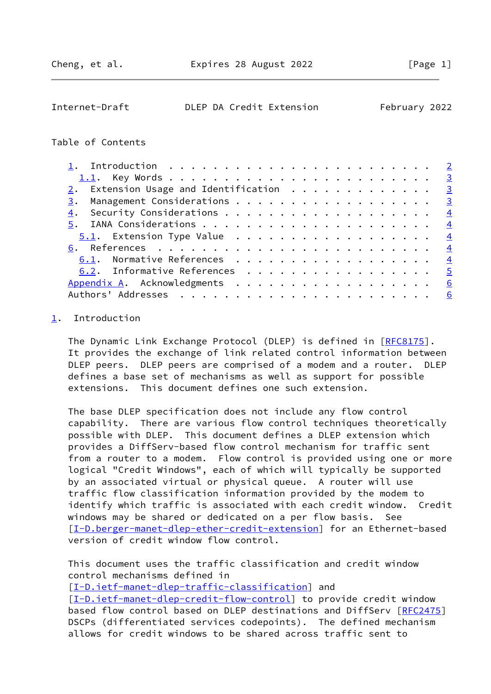<span id="page-1-1"></span>

| Internet-Draft |  | DLEP DA Credit Extension | February 2022 |  |
|----------------|--|--------------------------|---------------|--|
|                |  |                          |               |  |

## Table of Contents

| $2.$ Extension Usage and Identification $.$                                   |                |
|-------------------------------------------------------------------------------|----------------|
|                                                                               |                |
|                                                                               |                |
|                                                                               |                |
| <u>5.1</u> . Extension Type Value $\ldots \ldots \ldots \ldots \ldots \ldots$ |                |
|                                                                               |                |
| 6.1. Normative References 4                                                   |                |
| 6.2. Informative References 5                                                 |                |
| Appendix A. Acknowledgments 6                                                 |                |
|                                                                               | $\overline{6}$ |

# <span id="page-1-0"></span>[1](#page-1-0). Introduction

The Dynamic Link Exchange Protocol (DLEP) is defined in [\[RFC8175](https://datatracker.ietf.org/doc/pdf/rfc8175)]. It provides the exchange of link related control information between DLEP peers. DLEP peers are comprised of a modem and a router. DLEP defines a base set of mechanisms as well as support for possible extensions. This document defines one such extension.

 The base DLEP specification does not include any flow control capability. There are various flow control techniques theoretically possible with DLEP. This document defines a DLEP extension which provides a DiffServ-based flow control mechanism for traffic sent from a router to a modem. Flow control is provided using one or more logical "Credit Windows", each of which will typically be supported by an associated virtual or physical queue. A router will use traffic flow classification information provided by the modem to identify which traffic is associated with each credit window. Credit windows may be shared or dedicated on a per flow basis. See [\[I-D.berger-manet-dlep-ether-credit-extension](#page-5-3)] for an Ethernet-based version of credit window flow control.

 This document uses the traffic classification and credit window control mechanisms defined in

[\[I-D.ietf-manet-dlep-traffic-classification\]](#page-4-4) and [\[I-D.ietf-manet-dlep-credit-flow-control](#page-4-5)] to provide credit window based flow control based on DLEP destinations and DiffServ [[RFC2475\]](https://datatracker.ietf.org/doc/pdf/rfc2475) DSCPs (differentiated services codepoints). The defined mechanism allows for credit windows to be shared across traffic sent to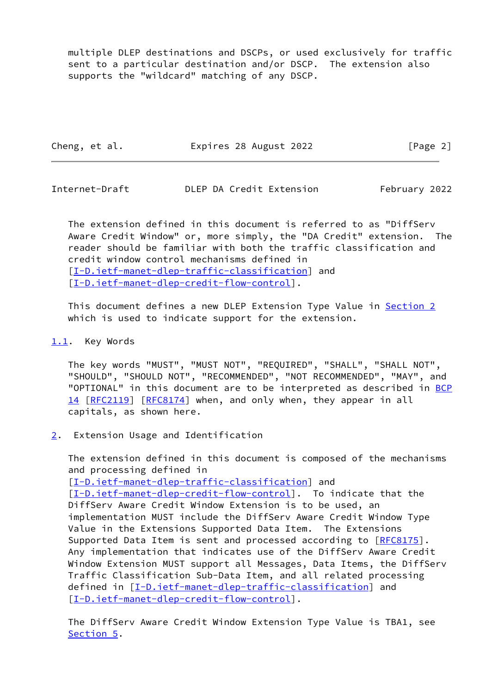multiple DLEP destinations and DSCPs, or used exclusively for traffic sent to a particular destination and/or DSCP. The extension also supports the "wildcard" matching of any DSCP.

Cheng, et al. **Expires 28 August 2022** [Page 2]

<span id="page-2-1"></span>Internet-Draft DLEP DA Credit Extension February 2022

 The extension defined in this document is referred to as "DiffServ Aware Credit Window" or, more simply, the "DA Credit" extension. The reader should be familiar with both the traffic classification and credit window control mechanisms defined in [\[I-D.ietf-manet-dlep-traffic-classification\]](#page-4-4) and [\[I-D.ietf-manet-dlep-credit-flow-control](#page-4-5)].

 This document defines a new DLEP Extension Type Value in [Section 2](#page-2-2) which is used to indicate support for the extension.

## <span id="page-2-0"></span>[1.1](#page-2-0). Key Words

 The key words "MUST", "MUST NOT", "REQUIRED", "SHALL", "SHALL NOT", "SHOULD", "SHOULD NOT", "RECOMMENDED", "NOT RECOMMENDED", "MAY", and "OPTIONAL" in this document are to be interpreted as described in [BCP](https://datatracker.ietf.org/doc/pdf/bcp14) [14](https://datatracker.ietf.org/doc/pdf/bcp14) [[RFC2119\]](https://datatracker.ietf.org/doc/pdf/rfc2119) [\[RFC8174](https://datatracker.ietf.org/doc/pdf/rfc8174)] when, and only when, they appear in all capitals, as shown here.

<span id="page-2-2"></span>[2](#page-2-2). Extension Usage and Identification

 The extension defined in this document is composed of the mechanisms and processing defined in [\[I-D.ietf-manet-dlep-traffic-classification\]](#page-4-4) and [\[I-D.ietf-manet-dlep-credit-flow-control](#page-4-5)]. To indicate that the DiffServ Aware Credit Window Extension is to be used, an implementation MUST include the DiffServ Aware Credit Window Type Value in the Extensions Supported Data Item. The Extensions Supported Data Item is sent and processed according to [\[RFC8175](https://datatracker.ietf.org/doc/pdf/rfc8175)]. Any implementation that indicates use of the DiffServ Aware Credit Window Extension MUST support all Messages, Data Items, the DiffServ Traffic Classification Sub-Data Item, and all related processing defined in [[I-D.ietf-manet-dlep-traffic-classification\]](#page-4-4) and [\[I-D.ietf-manet-dlep-credit-flow-control](#page-4-5)].

 The DiffServ Aware Credit Window Extension Type Value is TBA1, see [Section 5](#page-3-3).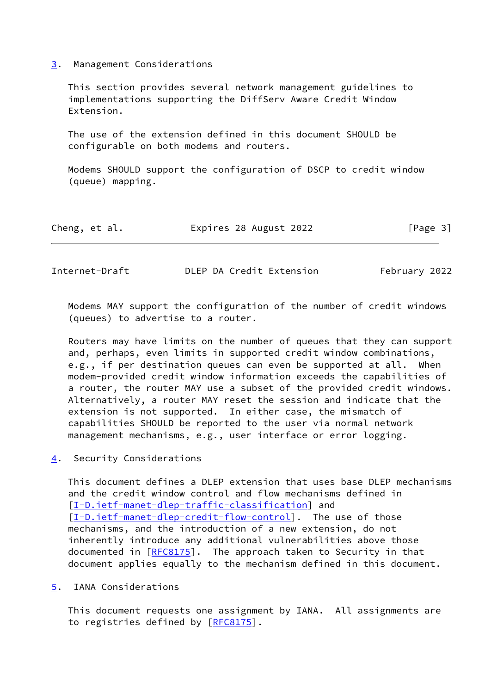### <span id="page-3-0"></span>[3](#page-3-0). Management Considerations

 This section provides several network management guidelines to implementations supporting the DiffServ Aware Credit Window Extension.

 The use of the extension defined in this document SHOULD be configurable on both modems and routers.

 Modems SHOULD support the configuration of DSCP to credit window (queue) mapping.

| Expires 28 August 2022<br>Cheng, et al. | [Page 3] |
|-----------------------------------------|----------|
|-----------------------------------------|----------|

<span id="page-3-2"></span>Internet-Draft DLEP DA Credit Extension February 2022

 Modems MAY support the configuration of the number of credit windows (queues) to advertise to a router.

 Routers may have limits on the number of queues that they can support and, perhaps, even limits in supported credit window combinations, e.g., if per destination queues can even be supported at all. When modem-provided credit window information exceeds the capabilities of a router, the router MAY use a subset of the provided credit windows. Alternatively, a router MAY reset the session and indicate that the extension is not supported. In either case, the mismatch of capabilities SHOULD be reported to the user via normal network management mechanisms, e.g., user interface or error logging.

<span id="page-3-1"></span>[4](#page-3-1). Security Considerations

 This document defines a DLEP extension that uses base DLEP mechanisms and the credit window control and flow mechanisms defined in [\[I-D.ietf-manet-dlep-traffic-classification\]](#page-4-4) and [\[I-D.ietf-manet-dlep-credit-flow-control](#page-4-5)]. The use of those mechanisms, and the introduction of a new extension, do not inherently introduce any additional vulnerabilities above those documented in [[RFC8175](https://datatracker.ietf.org/doc/pdf/rfc8175)]. The approach taken to Security in that document applies equally to the mechanism defined in this document.

<span id="page-3-3"></span>[5](#page-3-3). IANA Considerations

 This document requests one assignment by IANA. All assignments are to registries defined by [\[RFC8175](https://datatracker.ietf.org/doc/pdf/rfc8175)].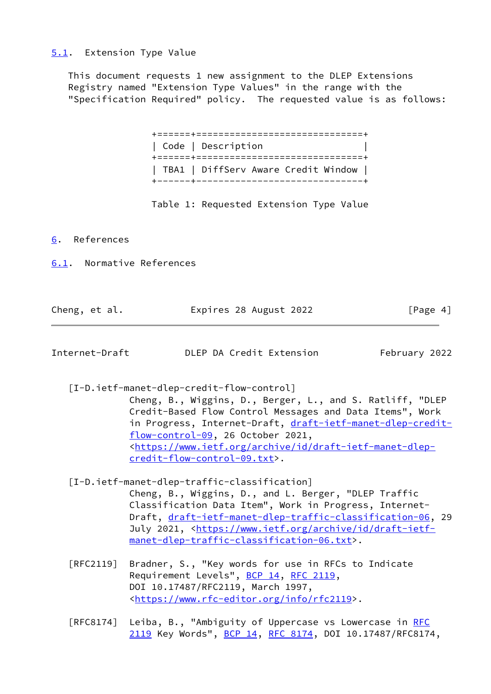## <span id="page-4-0"></span>[5.1](#page-4-0). Extension Type Value

 This document requests 1 new assignment to the DLEP Extensions Registry named "Extension Type Values" in the range with the "Specification Required" policy. The requested value is as follows:

| Code   Description                  |
|-------------------------------------|
| TBA1   DiffServ Aware Credit Window |

Table 1: Requested Extension Type Value

<span id="page-4-1"></span>[6](#page-4-1). References

<span id="page-4-2"></span>[6.1](#page-4-2). Normative References

| Cheng, et al. | Expires 28 August 2022 | [Page 4] |
|---------------|------------------------|----------|
|---------------|------------------------|----------|

<span id="page-4-3"></span>Internet-Draft DLEP DA Credit Extension February 2022

<span id="page-4-5"></span>[I-D.ietf-manet-dlep-credit-flow-control]

 Cheng, B., Wiggins, D., Berger, L., and S. Ratliff, "DLEP Credit-Based Flow Control Messages and Data Items", Work in Progress, Internet-Draft, [draft-ietf-manet-dlep-credit](https://datatracker.ietf.org/doc/pdf/draft-ietf-manet-dlep-credit-flow-control-09) [flow-control-09](https://datatracker.ietf.org/doc/pdf/draft-ietf-manet-dlep-credit-flow-control-09), 26 October 2021, <[https://www.ietf.org/archive/id/draft-ietf-manet-dlep](https://www.ietf.org/archive/id/draft-ietf-manet-dlep-credit-flow-control-09.txt) [credit-flow-control-09.txt>](https://www.ietf.org/archive/id/draft-ietf-manet-dlep-credit-flow-control-09.txt).

<span id="page-4-4"></span>[I-D.ietf-manet-dlep-traffic-classification]

 Cheng, B., Wiggins, D., and L. Berger, "DLEP Traffic Classification Data Item", Work in Progress, Internet- Draft, [draft-ietf-manet-dlep-traffic-classification-06](https://datatracker.ietf.org/doc/pdf/draft-ietf-manet-dlep-traffic-classification-06), 29 July 2021, <[https://www.ietf.org/archive/id/draft-ietf](https://www.ietf.org/archive/id/draft-ietf-manet-dlep-traffic-classification-06.txt) [manet-dlep-traffic-classification-06.txt>](https://www.ietf.org/archive/id/draft-ietf-manet-dlep-traffic-classification-06.txt).

 [RFC2119] Bradner, S., "Key words for use in RFCs to Indicate Requirement Levels", [BCP 14](https://datatracker.ietf.org/doc/pdf/bcp14), [RFC 2119](https://datatracker.ietf.org/doc/pdf/rfc2119), DOI 10.17487/RFC2119, March 1997, <[https://www.rfc-editor.org/info/rfc2119>](https://www.rfc-editor.org/info/rfc2119).

[RFC8174] Leiba, B., "Ambiguity of Uppercase vs Lowercase in [RFC](https://datatracker.ietf.org/doc/pdf/rfc2119) [2119](https://datatracker.ietf.org/doc/pdf/rfc2119) Key Words", [BCP 14](https://datatracker.ietf.org/doc/pdf/bcp14), [RFC 8174,](https://datatracker.ietf.org/doc/pdf/rfc8174) DOI 10.17487/RFC8174,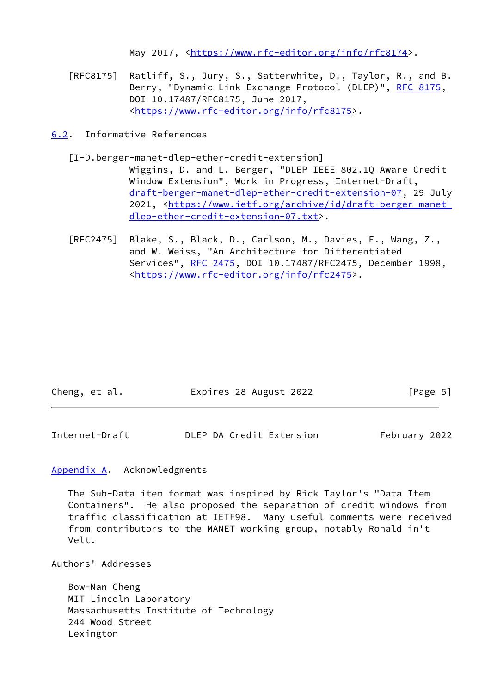May 2017, [<https://www.rfc-editor.org/info/rfc8174](https://www.rfc-editor.org/info/rfc8174)>.

- [RFC8175] Ratliff, S., Jury, S., Satterwhite, D., Taylor, R., and B. Berry, "Dynamic Link Exchange Protocol (DLEP)", [RFC 8175,](https://datatracker.ietf.org/doc/pdf/rfc8175) DOI 10.17487/RFC8175, June 2017, <[https://www.rfc-editor.org/info/rfc8175>](https://www.rfc-editor.org/info/rfc8175).
- <span id="page-5-3"></span><span id="page-5-0"></span>[6.2](#page-5-0). Informative References
	- [I-D.berger-manet-dlep-ether-credit-extension] Wiggins, D. and L. Berger, "DLEP IEEE 802.1Q Aware Credit Window Extension", Work in Progress, Internet-Draft, [draft-berger-manet-dlep-ether-credit-extension-07,](https://datatracker.ietf.org/doc/pdf/draft-berger-manet-dlep-ether-credit-extension-07) 29 July 2021, [<https://www.ietf.org/archive/id/draft-berger-manet](https://www.ietf.org/archive/id/draft-berger-manet-dlep-ether-credit-extension-07.txt) [dlep-ether-credit-extension-07.txt>](https://www.ietf.org/archive/id/draft-berger-manet-dlep-ether-credit-extension-07.txt).
	- [RFC2475] Blake, S., Black, D., Carlson, M., Davies, E., Wang, Z., and W. Weiss, "An Architecture for Differentiated Services", [RFC 2475](https://datatracker.ietf.org/doc/pdf/rfc2475), DOI 10.17487/RFC2475, December 1998, <[https://www.rfc-editor.org/info/rfc2475>](https://www.rfc-editor.org/info/rfc2475).

| Cheng, et al. | Expires 28 August 2022 | [Page 5] |
|---------------|------------------------|----------|
|---------------|------------------------|----------|

<span id="page-5-2"></span>

| Internet-Draft | DLEP DA Credit Extension | February 2022 |
|----------------|--------------------------|---------------|
|----------------|--------------------------|---------------|

<span id="page-5-1"></span>[Appendix A.](#page-5-1) Acknowledgments

 The Sub-Data item format was inspired by Rick Taylor's "Data Item Containers". He also proposed the separation of credit windows from traffic classification at IETF98. Many useful comments were received from contributors to the MANET working group, notably Ronald in't Velt.

Authors' Addresses

 Bow-Nan Cheng MIT Lincoln Laboratory Massachusetts Institute of Technology 244 Wood Street Lexington